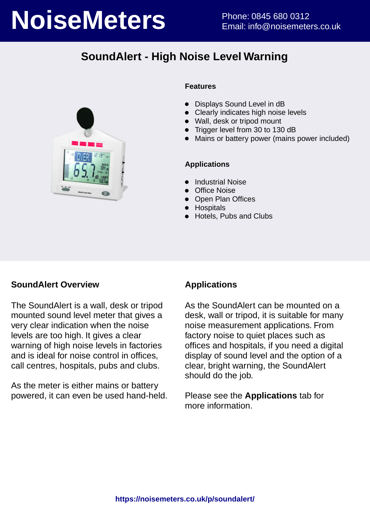# **NoiseMeters** Phone: 0845 680 0312

# **SoundAlert - High Noise Level Warning**



### **Features**

- Displays Sound Level in dB
- Clearly indicates high noise levels
- Wall, desk or tripod mount
- Trigger level from 30 to 130 dB
- Mains or battery power (mains power included)

### **Applications**

- Industrial Noise
- Office Noise
- Open Plan Offices
- **•** Hospitals
- Hotels, Pubs and Clubs

### **SoundAlert Overview**

The SoundAlert is a wall, desk or tripod mounted sound level meter that gives a very clear indication when the noise levels are too high. It gives a clear warning of high noise levels in factories and is ideal for noise control in offices, call centres, hospitals, pubs and clubs.

As the meter is either mains or battery powered, it can even be used hand-held.

## **Applications**

As the SoundAlert can be mounted on a desk, wall or tripod, it is suitable for many noise measurement applications. From factory noise to quiet places such as offices and hospitals, if you need a digital display of sound level and the option of a clear, bright warning, the SoundAlert should do the job.

Please see the **Applications** tab for more information.